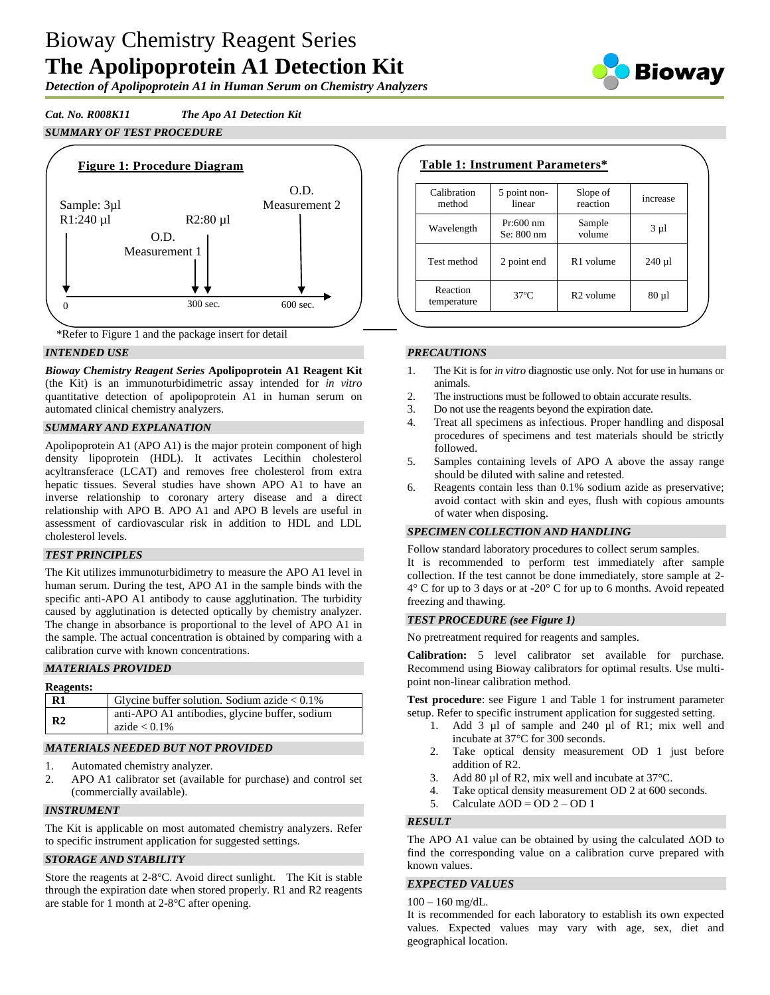# Bioway Chemistry Reagent Series **The Apolipoprotein A1 Detection Kit**

*Detection of Apolipoprotein A1 in Human Serum on Chemistry Analyzers*

*Cat. No. R008K11 The Apo A1 Detection Kit SUMMARY OF TEST PROCEDURE*



\*Refer to Figure 1 and the package insert for detail

## *INTENDED USE*

*Bioway Chemistry Reagent Series* **Apolipoprotein A1 Reagent Kit**  (the Kit) is an immunoturbidimetric assay intended for *in vitro* quantitative detection of apolipoprotein A1 in human serum on automated clinical chemistry analyzers.

## *SUMMARY AND EXPLANATION*

Apolipoprotein A1 (APO A1) is the major protein component of high density lipoprotein (HDL). It activates Lecithin cholesterol acyltransferace (LCAT) and removes free cholesterol from extra hepatic tissues. Several studies have shown APO A1 to have an inverse relationship to coronary artery disease and a direct relationship with APO B. APO A1 and APO B levels are useful in assessment of cardiovascular risk in addition to HDL and LDL cholesterol levels.

#### *TEST PRINCIPLES*

The Kit utilizes immunoturbidimetry to measure the APO A1 level in human serum. During the test, APO A1 in the sample binds with the specific anti-APO A1 antibody to cause agglutination. The turbidity caused by agglutination is detected optically by chemistry analyzer. The change in absorbance is proportional to the level of APO A1 in the sample. The actual concentration is obtained by comparing with a calibration curve with known concentrations.

#### *MATERIALS PROVIDED*

| <b>Reagents:</b> |                                                                   |
|------------------|-------------------------------------------------------------------|
| $\mathbf{R}1$    | Glycine buffer solution. Sodium azide $< 0.1\%$                   |
| R <sub>2</sub>   | anti-APO A1 antibodies, glycine buffer, sodium<br>azide $< 0.1\%$ |

## *MATERIALS NEEDED BUT NOT PROVIDED*

- 1. Automated chemistry analyzer.
- 2. APO A1 calibrator set (available for purchase) and control set (commercially available).

#### *INSTRUMENT*

The Kit is applicable on most automated chemistry analyzers. Refer to specific instrument application for suggested settings.

#### *STORAGE AND STABILITY*

Store the reagents at 2-8°C. Avoid direct sunlight. The Kit is stable through the expiration date when stored properly. R1 and R2 reagents are stable for 1 month at 2-8°C after opening.

| Table 1: Instrument Parameters* |                           |                       |            |  |
|---------------------------------|---------------------------|-----------------------|------------|--|
| Calibration<br>method           | 5 point non-<br>linear    | Slope of<br>reaction  | increase   |  |
| Wavelength                      | $Pr:600$ nm<br>Se: 800 nm | Sample<br>volume      | $3 \mu l$  |  |
| Test method                     | 2 point end               | R <sub>1</sub> volume | $240 \mu$  |  |
| Reaction<br>temperature         | $37^\circ$ C              | R <sub>2</sub> volume | $80 \mu 1$ |  |

## *PRECAUTIONS*

- 1. The Kit is for *in vitro* diagnostic use only. Not for use in humans or animals.
- 2. The instructions must be followed to obtain accurate results.
- 3. Do not use the reagents beyond the expiration date.
- 4. Treat all specimens as infectious. Proper handling and disposal procedures of specimens and test materials should be strictly followed.
- 5. Samples containing levels of APO A above the assay range should be diluted with saline and retested.
- 6. Reagents contain less than 0.1% sodium azide as preservative; avoid contact with skin and eyes, flush with copious amounts of water when disposing.

#### *SPECIMEN COLLECTION AND HANDLING*

Follow standard laboratory procedures to collect serum samples. It is recommended to perform test immediately after sample collection. If the test cannot be done immediately, store sample at 2-  $4^{\circ}$  C for up to 3 days or at -20 $^{\circ}$  C for up to 6 months. Avoid repeated freezing and thawing.

#### *TEST PROCEDURE (see Figure 1)*

No pretreatment required for reagents and samples.

**Calibration:** 5 level calibrator set available for purchase. Recommend using Bioway calibrators for optimal results. Use multipoint non-linear calibration method.

**Test procedure**: see Figure 1 and Table 1 for instrument parameter setup. Refer to specific instrument application for suggested setting.

- 1. Add 3 µl of sample and 240 µl of R1; mix well and incubate at 37°C for 300 seconds.
- 2. Take optical density measurement OD 1 just before addition of R2.
- 3. Add 80 µl of R2, mix well and incubate at 37 °C.
- 4. Take optical density measurement OD 2 at 600 seconds.
- 5. Calculate  $\triangle$ OD = OD 2 OD 1

#### *RESULT*

The APO A1 value can be obtained by using the calculated ΔOD to find the corresponding value on a calibration curve prepared with known values.

# *EXPECTED VALUES*

 $100 - 160$  mg/dL.

It is recommended for each laboratory to establish its own expected values. Expected values may vary with age, sex, diet and geographical location.